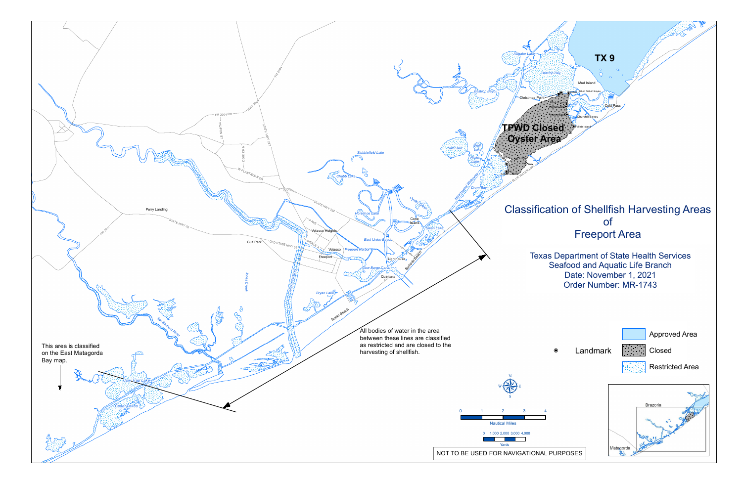